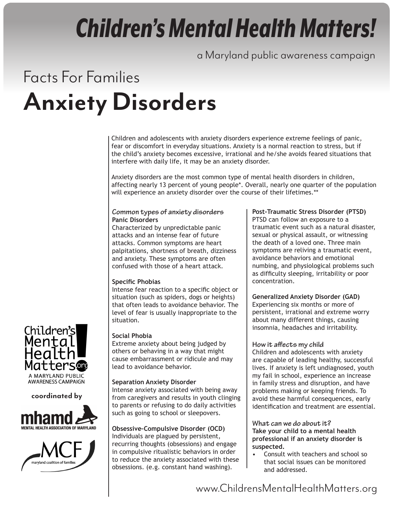# *Children's Mental Health Matters!*

a Maryland public awareness campaign

## Facts For Families **Anxiety Disorders**

Children and adolescents with anxiety disorders experience extreme feelings of panic, fear or discomfort in everyday situations. Anxiety is a normal reaction to stress, but if the child's anxiety becomes excessive, irrational and he/she avoids feared situations that interfere with daily life, it may be an anxiety disorder.

Anxiety disorders are the most common type of mental health disorders in children, affecting nearly 13 percent of young people\*. Overall, nearly one quarter of the population will experience an anxiety disorder over the course of their lifetimes.\*\*

#### **Common types of anxiety disorders Panic Disorders**

Characterized by unpredictable panic attacks and an intense fear of future attacks. Common symptoms are heart palpitations, shortness of breath, dizziness and anxiety. These symptoms are often confused with those of a heart attack.

### **Specific Phobias**

Intense fear reaction to a specific object or situation (such as spiders, dogs or heights) that often leads to avoidance behavior. The level of fear is usually inappropriate to the situation.

#### **Social Phobia**

Extreme anxiety about being judged by others or behaving in a way that might cause embarrassment or ridicule and may lead to avoidance behavior.

### **Separation Anxiety Disorder**

Intense anxiety associated with being away from caregivers and results in youth clinging to parents or refusing to do daily activities such as going to school or sleepovers.

#### **Obsessive–Compulsive Disorder (OCD)** Individuals are plagued by persistent, recurring thoughts (obsessions) and engage in compulsive ritualistic behaviors in order to reduce the anxiety associated with these obsessions. (e.g. constant hand washing).

#### **Post-Traumatic Stress Disorder (PTSD)**

PTSD can follow an exposure to a traumatic event such as a natural disaster, sexual or physical assault, or witnessing the death of a loved one. Three main symptoms are reliving a traumatic event, avoidance behaviors and emotional numbing, and physiological problems such as difficulty sleeping, irritability or poor concentration.

### **Generalized Anxiety Disorder (GAD)**

Experiencing six months or more of persistent, irrational and extreme worry about many different things, causing insomnia, headaches and irritability.

#### **How it affects my child**

Children and adolescents with anxiety are capable of leading healthy, successful lives. If anxiety is left undiagnosed, youth my fail in school, experience an increase in family stress and disruption, and have problems making or keeping friends. To avoid these harmful consequences, early identification and treatment are essential.

**What can we do about it? Take your child to a mental health professional if an anxiety disorder is suspected.**

• Consult with teachers and school so that social issues can be monitored and addressed.



**AWARENESS CAMPAIGN** 

### **coordinated by**